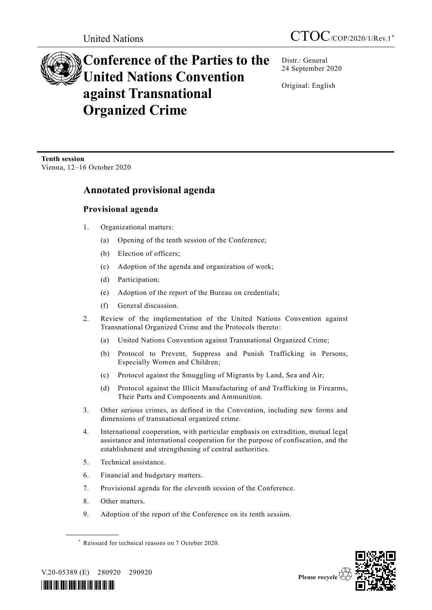# **Conference of the Parties to the United Nations Convention against Transnational Organized Crime**

Distr.: General 24 September 2020

Original: English

**Tenth session** Vienna, 12–16 October 2020

# **Annotated provisional agenda**

# **Provisional agenda**

- 1. Organizational matters:
	- (a) Opening of the tenth session of the Conference;
	- (b) Election of officers;
	- (c) Adoption of the agenda and organization of work;
	- (d) Participation;
	- (e) Adoption of the report of the Bureau on credentials;
	- (f) General discussion.
- 2. Review of the implementation of the United Nations Convention against Transnational Organized Crime and the Protocols thereto:
	- (a) United Nations Convention against Transnational Organized Crime;
	- (b) Protocol to Prevent, Suppress and Punish Trafficking in Persons, Especially Women and Children;
	- (c) Protocol against the Smuggling of Migrants by Land, Sea and Air;
	- (d) Protocol against the Illicit Manufacturing of and Trafficking in Firearms, Their Parts and Components and Ammunition.
- 3. Other serious crimes, as defined in the Convention, including new forms and dimensions of transnational organized crime.
- 4. International cooperation, with particular emphasis on extradition, mutual legal assistance and international cooperation for the purpose of confiscation, and the establishment and strengthening of central authorities.
- 5. Technical assistance.
- 6. Financial and budgetary matters.
- 7. Provisional agenda for the eleventh session of the Conference.
- 8. Other matters.
- 9. Adoption of the report of the Conference on its tenth session.



V.20-05389 (E) 280920 290920

**\_\_\_\_\_\_\_\_\_\_\_\_\_\_\_\_\_\_**



<sup>\*</sup> Reissued for technical reasons on 7 October 2020.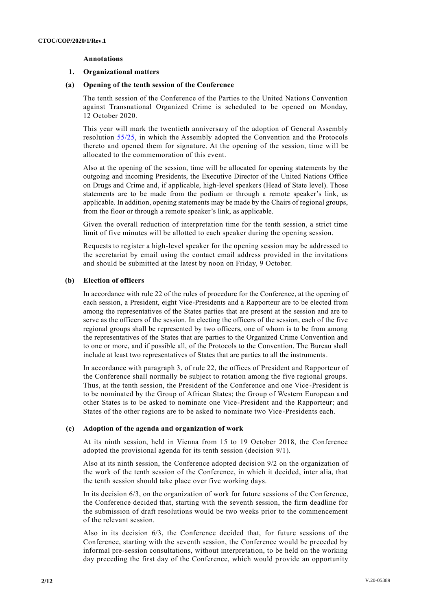#### **Annotations**

#### **1. Organizational matters**

#### **(a) Opening of the tenth session of the Conference**

The tenth session of the Conference of the Parties to the United Nations Convention against Transnational Organized Crime is scheduled to be opened on Monday, 12 October 2020.

This year will mark the twentieth anniversary of the adoption of General Assembly resolution [55/25,](http://undocs.org/A/RES/55/25) in which the Assembly adopted the Convention and the Protocols thereto and opened them for signature. At the opening of the session, time will be allocated to the commemoration of this event.

Also at the opening of the session, time will be allocated for opening statements by the outgoing and incoming Presidents, the Executive Director of the United Nations Office on Drugs and Crime and, if applicable, high-level speakers (Head of State level). Those statements are to be made from the podium or through a remote speaker's link, as applicable. In addition, opening statements may be made by the Chairs of regional groups, from the floor or through a remote speaker's link, as applicable.

Given the overall reduction of interpretation time for the tenth session, a strict time limit of five minutes will be allotted to each speaker during the opening session.

Requests to register a high-level speaker for the opening session may be addressed to the secretariat by email using the contact email address provided in the invitations and should be submitted at the latest by noon on Friday, 9 October.

#### **(b) Election of officers**

In accordance with rule 22 of the rules of procedure for the Conference, at the opening of each session, a President, eight Vice-Presidents and a Rapporteur are to be elected from among the representatives of the States parties that are present at the session and are to serve as the officers of the session. In electing the officers of the session, each of the five regional groups shall be represented by two officers, one of whom is to be from among the representatives of the States that are parties to the Organized Crime Convention and to one or more, and if possible all, of the Protocols to the Convention. The Bureau shall include at least two representatives of States that are parties to all the instruments.

In accordance with paragraph 3, of rule 22, the offices of President and Rapporteur of the Conference shall normally be subject to rotation among the five regional groups. Thus, at the tenth session, the President of the Conference and one Vice-President is to be nominated by the Group of African States; the Group of Western European a nd other States is to be asked to nominate one Vice-President and the Rapporteur; and States of the other regions are to be asked to nominate two Vice-Presidents each.

#### **(c) Adoption of the agenda and organization of work**

At its ninth session, held in Vienna from 15 to 19 October 2018, the Conference adopted the provisional agenda for its tenth session (decision 9/1).

Also at its ninth session, the Conference adopted decision 9/2 on the organization of the work of the tenth session of the Conference, in which it decided, inter alia, that the tenth session should take place over five working days.

In its decision 6/3, on the organization of work for future sessions of the Conference, the Conference decided that, starting with the seventh session, the firm deadline for the submission of draft resolutions would be two weeks prior to the commencement of the relevant session.

Also in its decision 6/3, the Conference decided that, for future sessions of the Conference, starting with the seventh session, the Conference would be preceded by informal pre-session consultations, without interpretation, to be held on the working day preceding the first day of the Conference, which would provide an opportunity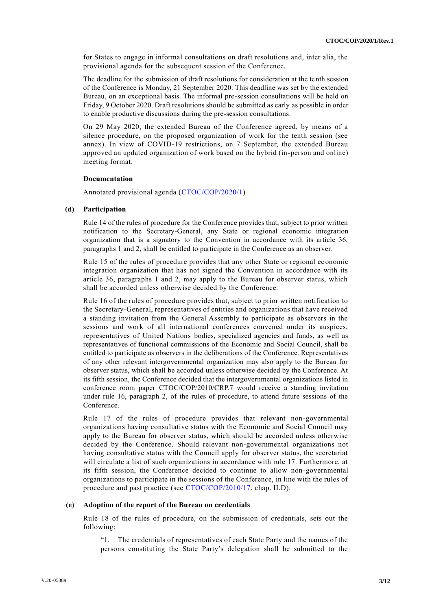for States to engage in informal consultations on draft resolutions and, inter alia, the provisional agenda for the subsequent session of the Conference.

The deadline for the submission of draft resolutions for consideration at the tenth session of the Conference is Monday, 21 September 2020. This deadline was set by the extended Bureau, on an exceptional basis. The informal pre-session consultations will be held on Friday, 9 October 2020. Draft resolutions should be submitted as early as possible in order to enable productive discussions during the pre-session consultations.

On 29 May 2020, the extended Bureau of the Conference agreed, by means of a silence procedure, on the proposed organization of work for the tenth session (see annex). In view of COVID-19 restrictions, on 7 September, the extended Bureau approved an updated organization of work based on the hybrid (in-person and online) meeting format.

### **Documentation**

Annotated provisional agenda [\(CTOC/COP/2020/1\)](http://undocs.org/CTOC/COP/2020/1)

### **(d) Participation**

Rule 14 of the rules of procedure for the Conference provides that, subject to prior written notification to the Secretary-General, any State or regional economic integration organization that is a signatory to the Convention in accordance with its article 36, paragraphs 1 and 2, shall be entitled to participate in the Conference as an observer.

Rule 15 of the rules of procedure provides that any other State or regional ec onomic integration organization that has not signed the Convention in accordance with its article 36, paragraphs 1 and 2, may apply to the Bureau for observer status, which shall be accorded unless otherwise decided by the Conference.

Rule 16 of the rules of procedure provides that, subject to prior written notification to the Secretary-General, representatives of entities and organizations that have received a standing invitation from the General Assembly to participate as observers in the sessions and work of all international conferences convened under its auspices, representatives of United Nations bodies, specialized agencies and funds, as well as representatives of functional commissions of the Economic and Social Council, shall be entitled to participate as observers in the deliberations of the Conference. Representatives of any other relevant intergovernmental organization may also apply to the Bureau for observer status, which shall be accorded unless otherwise decided by the Conference. At its fifth session, the Conference decided that the intergovernmental organizations listed in conference room paper CTOC/COP/2010/CRP.7 would receive a standing invitation under rule 16, paragraph 2, of the rules of procedure, to attend future sessions of the Conference.

Rule 17 of the rules of procedure provides that relevant non-governmental organizations having consultative status with the Economic and Social Council may apply to the Bureau for observer status, which should be accorded unless otherwise decided by the Conference. Should relevant non-governmental organizations not having consultative status with the Council apply for observer status, the secretariat will circulate a list of such organizations in accordance with rule 17. Furthermore, at its fifth session, the Conference decided to continue to allow non-governmental organizations to participate in the sessions of the Conference, in line with the rules of procedure and past practice (see [CTOC/COP/2010/17,](http://undocs.org/CTOC/COP/2010/17) chap. II.D).

#### **(e) Adoption of the report of the Bureau on credentials**

Rule 18 of the rules of procedure, on the submission of credentials, sets out the following:

"1. The credentials of representatives of each State Party and the names of the persons constituting the State Party's delegation shall be submitted to the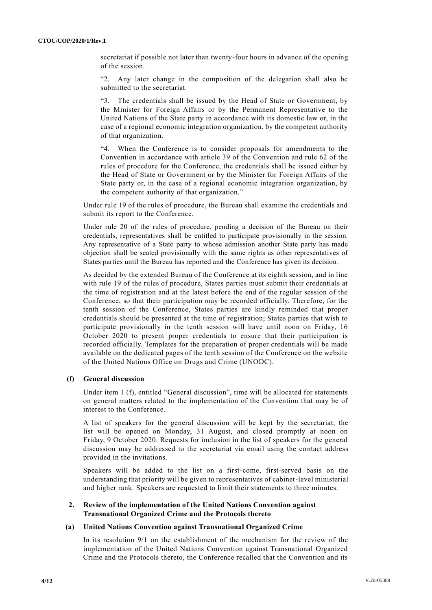secretariat if possible not later than twenty-four hours in advance of the opening of the session.

"2. Any later change in the composition of the delegation shall also be submitted to the secretariat.

"3. The credentials shall be issued by the Head of State or Government, by the Minister for Foreign Affairs or by the Permanent Representative to the United Nations of the State party in accordance with its domestic law or, in the case of a regional economic integration organization, by the competent authority of that organization.

When the Conference is to consider proposals for amendments to the Convention in accordance with article 39 of the Convention and rule 62 of the rules of procedure for the Conference, the credentials shall be issued either by the Head of State or Government or by the Minister for Foreign Affairs of the State party or, in the case of a regional economic integration organization, by the competent authority of that organization."

Under rule 19 of the rules of procedure, the Bureau shall examine the credentials and submit its report to the Conference.

Under rule 20 of the rules of procedure, pending a decision of the Bureau on their credentials, representatives shall be entitled to participate provisionally in the session. Any representative of a State party to whose admission another State party has made objection shall be seated provisionally with the same rights as other representatives of States parties until the Bureau has reported and the Conference has given its decision.

As decided by the extended Bureau of the Conference at its eighth session, and in line with rule 19 of the rules of procedure, States parties must submit their credentials at the time of registration and at the latest before the end of the regular session of the Conference, so that their participation may be recorded officially. Therefore, for the tenth session of the Conference, States parties are kindly reminded that proper credentials should be presented at the time of registration; States parties that wish to participate provisionally in the tenth session will have until noon on Friday, 16 October 2020 to present proper credentials to ensure that their participation is recorded officially. Templates for the preparation of proper credentials will be made available on the dedicated pages of the tenth session of the Conference on the website of the United Nations Office on Drugs and Crime (UNODC).

# **(f) General discussion**

Under item 1 (f), entitled "General discussion", time will be allocated for statements on general matters related to the implementation of the Convention that may be of interest to the Conference.

A list of speakers for the general discussion will be kept by the secretariat; the list will be opened on Monday, 31 August, and closed promptly at noon on Friday, 9 October 2020. Requests for inclusion in the list of speakers for the general discussion may be addressed to the secretariat via email using the contact address provided in the invitations.

Speakers will be added to the list on a first-come, first-served basis on the understanding that priority will be given to representatives of cabinet-level ministerial and higher rank. Speakers are requested to limit their statements to three minutes.

## **2. Review of the implementation of the United Nations Convention against Transnational Organized Crime and the Protocols thereto**

# **(a) United Nations Convention against Transnational Organized Crime**

In its resolution 9/1 on the establishment of the mechanism for the review of the implementation of the United Nations Convention against Transnational Organized Crime and the Protocols thereto, the Conference recalled that the Convention and its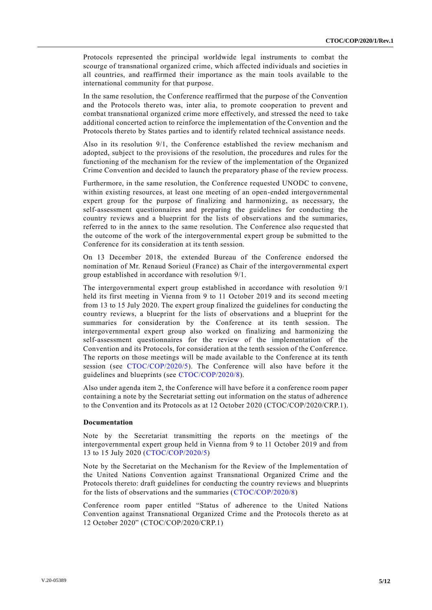Protocols represented the principal worldwide legal instruments to combat the scourge of transnational organized crime, which affected individuals and societies in all countries, and reaffirmed their importance as the main tools available to the international community for that purpose.

In the same resolution, the Conference reaffirmed that the purpose of the Convention and the Protocols thereto was, inter alia, to promote cooperation to prevent and combat transnational organized crime more effectively, and stressed the need to take additional concerted action to reinforce the implementation of the Convention and the Protocols thereto by States parties and to identify related technical assistance needs.

Also in its resolution 9/1, the Conference established the review mechanism and adopted, subject to the provisions of the resolution, the procedures and rules for the functioning of the mechanism for the review of the implementation of the Organized Crime Convention and decided to launch the preparatory phase of the review process.

Furthermore, in the same resolution, the Conference requested UNODC to convene, within existing resources, at least one meeting of an open-ended intergovernmental expert group for the purpose of finalizing and harmonizing, as necessary, the self-assessment questionnaires and preparing the guidelines for conducting the country reviews and a blueprint for the lists of observations and the summaries, referred to in the annex to the same resolution. The Conference also reque sted that the outcome of the work of the intergovernmental expert group be submitted to the Conference for its consideration at its tenth session.

On 13 December 2018, the extended Bureau of the Conference endorsed the nomination of Mr. Renaud Sorieul (France) as Chair of the intergovernmental expert group established in accordance with resolution 9/1.

The intergovernmental expert group established in accordance with resolution 9/1 held its first meeting in Vienna from 9 to 11 October 2019 and its second meeting from 13 to 15 July 2020. The expert group finalized the guidelines for conducting the country reviews, a blueprint for the lists of observations and a blueprint for the summaries for consideration by the Conference at its tenth session. The intergovernmental expert group also worked on finalizing and harmonizing the self-assessment questionnaires for the review of the implementation of the Convention and its Protocols, for consideration at the tenth session of the Conference. The reports on those meetings will be made available to the Conference at its tenth session (see [CTOC/COP/2020/5\)](http://undocs.org/CTOC/COP/2020/5). The Conference will also have before it the guidelines and blueprints (see [CTOC/COP/2020/8\)](http://undocs.org/CTOC/COP/2020/8).

Also under agenda item 2, the Conference will have before it a conference room paper containing a note by the Secretariat setting out information on the status of adherence to the Convention and its Protocols as at 12 October 2020 (CTOC/COP/2020/CRP.1).

#### **Documentation**

Note by the Secretariat transmitting the reports on the meetings of the intergovernmental expert group held in Vienna from 9 to 11 October 2019 and from 13 to 15 July 2020 [\(CTOC/COP/2020/5\)](http://undocs.org/CTOC/COP/2020/5)

Note by the Secretariat on the Mechanism for the Review of the Implementation of the United Nations Convention against Transnational Organized Crime and the Protocols thereto: draft guidelines for conducting the country reviews and blueprints for the lists of observations and the summaries [\(CTOC/COP/2020/8\)](http://undocs.org/CTOC/COP/2020/8)

Conference room paper entitled "Status of adherence to the United Nations Convention against Transnational Organized Crime and the Protocols thereto as at 12 October 2020" (CTOC/COP/2020/CRP.1)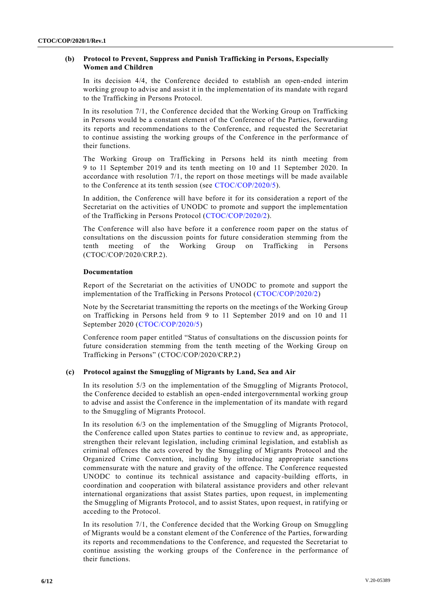# **(b) Protocol to Prevent, Suppress and Punish Trafficking in Persons, Especially Women and Children**

In its decision 4/4, the Conference decided to establish an open-ended interim working group to advise and assist it in the implementation of its mandate with regard to the Trafficking in Persons Protocol.

In its resolution 7/1, the Conference decided that the Working Group on Trafficking in Persons would be a constant element of the Conference of the Parties, forwarding its reports and recommendations to the Conference, and requested the Secretariat to continue assisting the working groups of the Conference in the performance of their functions.

The Working Group on Trafficking in Persons held its ninth meeting from 9 to 11 September 2019 and its tenth meeting on 10 and 11 September 2020. In accordance with resolution 7/1, the report on those meetings will be made available to the Conference at its tenth session (see [CTOC/COP/2020/5\)](http://undocs.org/CTOC/COP/2020/5).

In addition, the Conference will have before it for its consideration a report of the Secretariat on the activities of UNODC to promote and support the implementation of the Trafficking in Persons Protocol [\(CTOC/COP/2020/2\)](http://undocs.org/CTOC/COP/2020/2).

The Conference will also have before it a conference room paper on the status of consultations on the discussion points for future consideration stemming from the tenth meeting of the Working Group on Trafficking in Persons (CTOC/COP/2020/CRP.2).

# **Documentation**

Report of the Secretariat on the activities of UNODC to promote and support the implementation of the Trafficking in Persons Protocol [\(CTOC/COP/2020/2\)](http://undocs.org/CTOC/COP/2020/2)

Note by the Secretariat transmitting the reports on the meetings of the Working Group on Trafficking in Persons held from 9 to 11 September 2019 and on 10 and 11 September 2020 [\(CTOC/COP/2020/5\)](http://undocs.org/CTOC/COP/2020/5)

Conference room paper entitled "Status of consultations on the discussion points for future consideration stemming from the tenth meeting of the Working Group on Trafficking in Persons" (CTOC/COP/2020/CRP.2)

# **(c) Protocol against the Smuggling of Migrants by Land, Sea and Air**

In its resolution 5/3 on the implementation of the Smuggling of Migrants Protocol, the Conference decided to establish an open-ended intergovernmental working group to advise and assist the Conference in the implementation of its mandate with regard to the Smuggling of Migrants Protocol.

In its resolution 6/3 on the implementation of the Smuggling of Migrants Protocol, the Conference called upon States parties to continue to review and, as appropriate, strengthen their relevant legislation, including criminal legislation, and establish as criminal offences the acts covered by the Smuggling of Migrants Protocol and the Organized Crime Convention, including by introducing appropriate sanctions commensurate with the nature and gravity of the offence. The Conference requested UNODC to continue its technical assistance and capacity-building efforts, in coordination and cooperation with bilateral assistance providers and other relevant international organizations that assist States parties, upon request, in implementing the Smuggling of Migrants Protocol, and to assist States, upon request, in ratifying or acceding to the Protocol.

In its resolution 7/1, the Conference decided that the Working Group on Smuggling of Migrants would be a constant element of the Conference of the Parties, forwarding its reports and recommendations to the Conference, and requested the Secretariat to continue assisting the working groups of the Conference in the performance of their functions.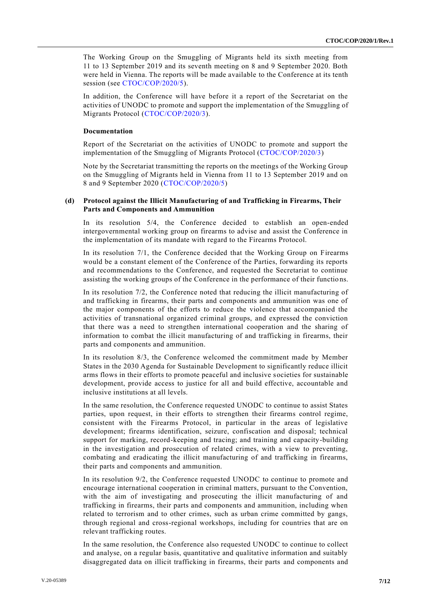The Working Group on the Smuggling of Migrants held its sixth meeting from 11 to 13 September 2019 and its seventh meeting on 8 and 9 September 2020. Both were held in Vienna. The reports will be made available to the Conference at its tenth session (see [CTOC/COP/2020/5\)](http://undocs.org/CTOC/COP/2020/5).

In addition, the Conference will have before it a report of the Secretariat on the activities of UNODC to promote and support the implementation of the Smuggling of Migrants Protocol [\(CTOC/COP/2020/3\)](http://undocs.org/CTOC/COP/2020/3).

#### **Documentation**

Report of the Secretariat on the activities of UNODC to promote and support the implementation of the Smuggling of Migrants Protocol [\(CTOC/COP/2020/3\)](http://undocs.org/CTOC/COP/2020/3)

Note by the Secretariat transmitting the reports on the meetings of the Working Group on the Smuggling of Migrants held in Vienna from 11 to 13 September 2019 and on 8 and 9 September 2020 [\(CTOC/COP/2020/5\)](http://undocs.org/CTOC/COP/2020/5)

# **(d) Protocol against the Illicit Manufacturing of and Trafficking in Firearms, Their Parts and Components and Ammunition**

In its resolution 5/4, the Conference decided to establish an open-ended intergovernmental working group on firearms to advise and assist the Conference in the implementation of its mandate with regard to the Firearms Protocol.

In its resolution 7/1, the Conference decided that the Working Group on Firearms would be a constant element of the Conference of the Parties, forwarding its reports and recommendations to the Conference, and requested the Secretariat to continue assisting the working groups of the Conference in the performance of their functio ns.

In its resolution 7/2, the Conference noted that reducing the illicit manufacturing of and trafficking in firearms, their parts and components and ammunition was one of the major components of the efforts to reduce the violence that accompanied the activities of transnational organized criminal groups, and expressed the conviction that there was a need to strengthen international cooperation and the sharing of information to combat the illicit manufacturing of and trafficking in firearms, their parts and components and ammunition.

In its resolution 8/3, the Conference welcomed the commitment made by Member States in the 2030 Agenda for Sustainable Development to significantly reduce illicit arms flows in their efforts to promote peaceful and inclusive societies for sustainable development, provide access to justice for all and build effective, accountable and inclusive institutions at all levels.

In the same resolution, the Conference requested UNODC to continue to assist States parties, upon request, in their efforts to strengthen their firearms control regime, consistent with the Firearms Protocol, in particular in the areas of legislative development; firearms identification, seizure, confiscation and disposal; technical support for marking, record-keeping and tracing; and training and capacity-building in the investigation and prosecution of related crimes, with a view to preventing, combating and eradicating the illicit manufacturing of and trafficking in firearms, their parts and components and ammunition.

In its resolution 9/2, the Conference requested UNODC to continue to promote and encourage international cooperation in criminal matters, pursuant to the Convention, with the aim of investigating and prosecuting the illicit manufacturing of and trafficking in firearms, their parts and components and ammunition, including when related to terrorism and to other crimes, such as urban crime committed by gangs, through regional and cross-regional workshops, including for countries that are on relevant trafficking routes.

In the same resolution, the Conference also requested UNODC to continue to collect and analyse, on a regular basis, quantitative and qualitative information and suitably disaggregated data on illicit trafficking in firearms, their parts and components and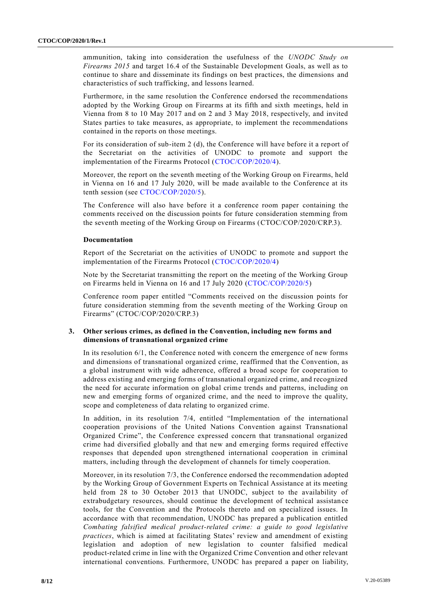ammunition, taking into consideration the usefulness of the *UNODC Study on Firearms 2015* and target 16.4 of the Sustainable Development Goals, as well as to continue to share and disseminate its findings on best practices, the dimensions and characteristics of such trafficking, and lessons learned.

Furthermore, in the same resolution the Conference endorsed the recommendations adopted by the Working Group on Firearms at its fifth and sixth meetings, held in Vienna from 8 to 10 May 2017 and on 2 and 3 May 2018, respectively, and invited States parties to take measures, as appropriate, to implement the recommendations contained in the reports on those meetings.

For its consideration of sub-item 2 (d), the Conference will have before it a report of the Secretariat on the activities of UNODC to promote and support the implementation of the Firearms Protocol [\(CTOC/COP/2020/4\)](http://undocs.org/CTOC/COP/2020/4).

Moreover, the report on the seventh meeting of the Working Group on Firearms, held in Vienna on 16 and 17 July 2020, will be made available to the Conference at its tenth session (see [CTOC/COP/2020/5\)](http://undocs.org/CTOC/COP/2020/5).

The Conference will also have before it a conference room paper containing the comments received on the discussion points for future consideration stemming from the seventh meeting of the Working Group on Firearms (CTOC/COP/2020/CRP.3).

#### **Documentation**

Report of the Secretariat on the activities of UNODC to promote and support the implementation of the Firearms Protocol [\(CTOC/COP/2020/4\)](http://undocs.org/CTOC/COP/2020/4)

Note by the Secretariat transmitting the report on the meeting of the Working Group on Firearms held in Vienna on 16 and 17 July 2020 [\(CTOC/COP/2020/5\)](http://undocs.org/CTOC/COP/2020/5)

Conference room paper entitled "Comments received on the discussion points for future consideration stemming from the seventh meeting of the Working Group on Firearms" (CTOC/COP/2020/CRP.3)

# **3. Other serious crimes, as defined in the Convention, including new forms and dimensions of transnational organized crime**

In its resolution 6/1, the Conference noted with concern the emergence of new forms and dimensions of transnational organized crime, reaffirmed that the Convention, as a global instrument with wide adherence, offered a broad scope for cooperation to address existing and emerging forms of transnational organized crime, and recognized the need for accurate information on global crime trends and patterns, including on new and emerging forms of organized crime, and the need to improve the quality, scope and completeness of data relating to organized crime.

In addition, in its resolution 7/4, entitled "Implementation of the international cooperation provisions of the United Nations Convention against Transnational Organized Crime", the Conference expressed concern that transnational organized crime had diversified globally and that new and emerging forms required effective responses that depended upon strengthened international cooperation in criminal matters, including through the development of channels for timely cooperation.

Moreover, in its resolution 7/3, the Conference endorsed the recommendation adopted by the Working Group of Government Experts on Technical Assistance at its meeting held from 28 to 30 October 2013 that UNODC, subject to the availability of extrabudgetary resources, should continue the development of technical assistance tools, for the Convention and the Protocols thereto and on specialized issues. In accordance with that recommendation, UNODC has prepared a publication entitled *Combating falsified medical product-related crime: a guide to good legislative practices*, which is aimed at facilitating States' review and amendment of existing legislation and adoption of new legislation to counter falsified medical product-related crime in line with the Organized Crime Convention and other relevant international conventions. Furthermore, UNODC has prepared a paper on liability,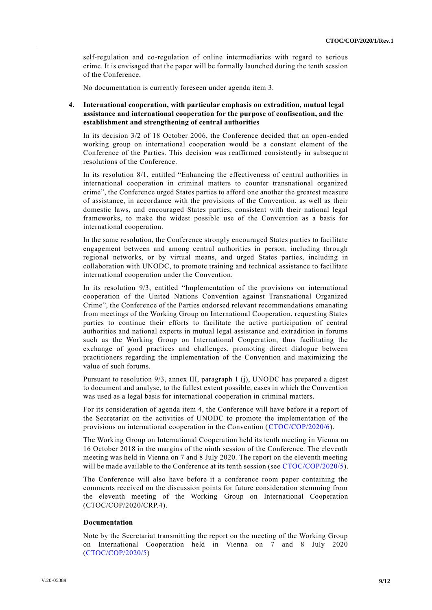self-regulation and co-regulation of online intermediaries with regard to serious crime. It is envisaged that the paper will be formally launched during the tenth session of the Conference.

No documentation is currently foreseen under agenda item 3.

# **4. International cooperation, with particular emphasis on extradition, mutual legal assistance and international cooperation for the purpose of confiscation, and the establishment and strengthening of central authorities**

In its decision 3/2 of 18 October 2006, the Conference decided that an open-ended working group on international cooperation would be a constant element of the Conference of the Parties. This decision was reaffirmed consistently in subsequent resolutions of the Conference.

In its resolution 8/1, entitled "Enhancing the effectiveness of central authorities in international cooperation in criminal matters to counter transnational organized crime", the Conference urged States parties to afford one another the greatest measure of assistance, in accordance with the provisions of the Convention, as well as their domestic laws, and encouraged States parties, consistent with their national legal frameworks, to make the widest possible use of the Convention as a basis for international cooperation.

In the same resolution, the Conference strongly encouraged States parties to facilitate engagement between and among central authorities in person, including through regional networks, or by virtual means, and urged States parties, including in collaboration with UNODC, to promote training and technical assistance to facilitate international cooperation under the Convention.

In its resolution 9/3, entitled "Implementation of the provisions on international cooperation of the United Nations Convention against Transnational Organized Crime", the Conference of the Parties endorsed relevant recommendations emanating from meetings of the Working Group on International Cooperation, requesting States parties to continue their efforts to facilitate the active participation of central authorities and national experts in mutual legal assistance and extradition in forums such as the Working Group on International Cooperation, thus facilitating the exchange of good practices and challenges, promoting direct dialogue between practitioners regarding the implementation of the Convention and maximizing the value of such forums.

Pursuant to resolution 9/3, annex III, paragraph 1 (j), UNODC has prepared a digest to document and analyse, to the fullest extent possible, cases in which the Convention was used as a legal basis for international cooperation in criminal matters.

For its consideration of agenda item 4, the Conference will have before it a report of the Secretariat on the activities of UNODC to promote the implementation of the provisions on international cooperation in the Convention [\(CTOC/COP/2020/6\)](http://undocs.org/CTOC/COP/2020/6).

The Working Group on International Cooperation held its tenth meeting in Vienna on 16 October 2018 in the margins of the ninth session of the Conference. The eleventh meeting was held in Vienna on 7 and 8 July 2020. The report on the eleventh meeting will be made available to the Conference at its tenth session (see [CTOC/COP/2020/5\)](http://undocs.org/CTOC/COP/2020/5).

The Conference will also have before it a conference room paper containing the comments received on the discussion points for future consideration stemming from the eleventh meeting of the Working Group on International Cooperation (CTOC/COP/2020/CRP.4).

#### **Documentation**

Note by the Secretariat transmitting the report on the meeting of the Working Group on International Cooperation held in Vienna on 7 and 8 July 2020 [\(CTOC/COP/2020/5\)](http://undocs.org/CTOC/COP/2020/5)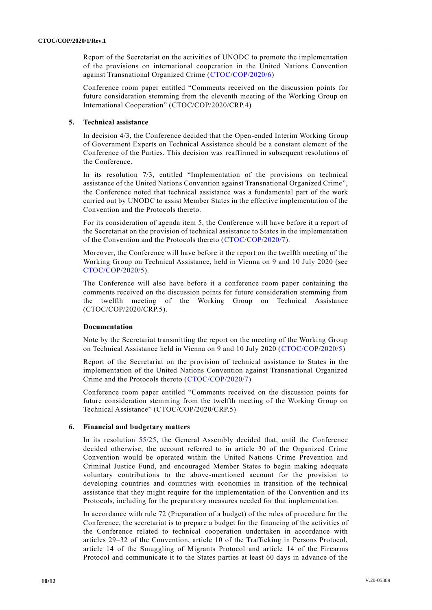Report of the Secretariat on the activities of UNODC to promote the implementation of the provisions on international cooperation in the United Nations Convention against Transnational Organized Crime [\(CTOC/COP/2020/6\)](http://undocs.org/CTOC/COP/2020/6)

Conference room paper entitled "Comments received on the discussion points for future consideration stemming from the eleventh meeting of the Working Group on International Cooperation" (CTOC/COP/2020/CRP.4)

# **5. Technical assistance**

In decision 4/3, the Conference decided that the Open-ended Interim Working Group of Government Experts on Technical Assistance should be a constant element of the Conference of the Parties. This decision was reaffirmed in subsequent resolutions of the Conference.

In its resolution 7/3, entitled "Implementation of the provisions on technical assistance of the United Nations Convention against Transnational Organized Crime", the Conference noted that technical assistance was a fundamental part of the work carried out by UNODC to assist Member States in the effective implementation of the Convention and the Protocols thereto.

For its consideration of agenda item 5, the Conference will have before it a report of the Secretariat on the provision of technical assistance to States in the implementation of the Convention and the Protocols thereto [\(CTOC/COP/2020/7\)](http://undocs.org/CTOC/COP/2020/7).

Moreover, the Conference will have before it the report on the twelfth meeting of the Working Group on Technical Assistance, held in Vienna on 9 and 10 July 2020 (see [CTOC/COP/2020/5\)](http://undocs.org/CTOC/COP/2020/5).

The Conference will also have before it a conference room paper containing the comments received on the discussion points for future consideration stemming from the twelfth meeting of the Working Group on Technical Assistance (CTOC/COP/2020/CRP.5).

# **Documentation**

Note by the Secretariat transmitting the report on the meeting of the Working Group on Technical Assistance held in Vienna on 9 and 10 July 2020 [\(CTOC/COP/2020/5\)](http://undocs.org/CTOC/COP/2020/5)

Report of the Secretariat on the provision of technical assistance to States in the implementation of the United Nations Convention against Transnational Organized Crime and the Protocols thereto [\(CTOC/COP/2020/7\)](http://undocs.org/CTOC/COP/2020/7)

Conference room paper entitled "Comments received on the discussion points for future consideration stemming from the twelfth meeting of the Working Group on Technical Assistance" (CTOC/COP/2020/CRP.5)

# **6. Financial and budgetary matters**

In its resolution [55/25,](http://undocs.org/A/RES/55/25) the General Assembly decided that, until the Conference decided otherwise, the account referred to in article 30 of the Organized Crime Convention would be operated within the United Nations Crime Prevention and Criminal Justice Fund, and encouraged Member States to begin making adequate voluntary contributions to the above-mentioned account for the provision to developing countries and countries with economies in transition of the technical assistance that they might require for the implementation of the Convention and its Protocols, including for the preparatory measures needed for that implementation.

In accordance with rule 72 (Preparation of a budget) of the rules of procedure for the Conference, the secretariat is to prepare a budget for the financing of the activities of the Conference related to technical cooperation undertaken in accordance with articles 29–32 of the Convention, article 10 of the Trafficking in Persons Protocol, article 14 of the Smuggling of Migrants Protocol and article 14 of the Firearms Protocol and communicate it to the States parties at least 60 days in advance of the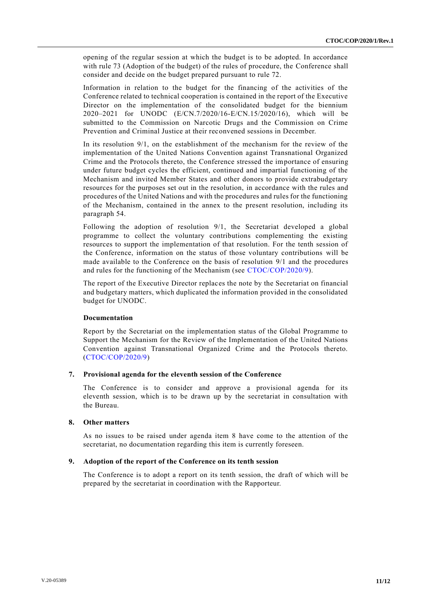opening of the regular session at which the budget is to be adopted. In accordance with rule 73 (Adoption of the budget) of the rules of procedure, the Conference shall consider and decide on the budget prepared pursuant to rule 72.

Information in relation to the budget for the financing of the activities of the Conference related to technical cooperation is contained in the report of the Executive Director on the implementation of the consolidated budget for the biennium 2020–2021 for UNODC (E/CN.7/2020/16-E/CN.15/2020/16), which will be submitted to the Commission on Narcotic Drugs and the Commission on Crime Prevention and Criminal Justice at their reconvened sessions in December.

In its resolution 9/1, on the establishment of the mechanism for the review of the implementation of the United Nations Convention against Transnational Organized Crime and the Protocols thereto, the Conference stressed the importance of ensuring under future budget cycles the efficient, continued and impartial functioning of the Mechanism and invited Member States and other donors to provide extrabudgetary resources for the purposes set out in the resolution, in accordance with the rules and procedures of the United Nations and with the procedures and rules for the functioning of the Mechanism, contained in the annex to the present resolution, including its paragraph 54.

Following the adoption of resolution 9/1, the Secretariat developed a global programme to collect the voluntary contributions complementing the existing resources to support the implementation of that resolution. For the tenth session of the Conference, information on the status of those voluntary contributions will be made available to the Conference on the basis of resolution 9/1 and the procedures and rules for the functioning of the Mechanism (see [CTOC/COP/2020/9\)](http://undocs.org/CTOC/COP/2020/9).

The report of the Executive Director replaces the note by the Secretariat on financial and budgetary matters, which duplicated the information provided in the consolidated budget for UNODC.

#### **Documentation**

Report by the Secretariat on the implementation status of the Global Programme to Support the Mechanism for the Review of the Implementation of the United Nations Convention against Transnational Organized Crime and the Protocols thereto. [\(CTOC/COP/2020/9\)](http://undocs.org/CTOC/COP/2020/9)

#### **7. Provisional agenda for the eleventh session of the Conference**

The Conference is to consider and approve a provisional agenda for its eleventh session, which is to be drawn up by the secretariat in consultation with the Bureau.

#### **8. Other matters**

As no issues to be raised under agenda item 8 have come to the attention of the secretariat, no documentation regarding this item is currently foreseen.

#### **9. Adoption of the report of the Conference on its tenth session**

The Conference is to adopt a report on its tenth session, the draft of which will be prepared by the secretariat in coordination with the Rapporteur.